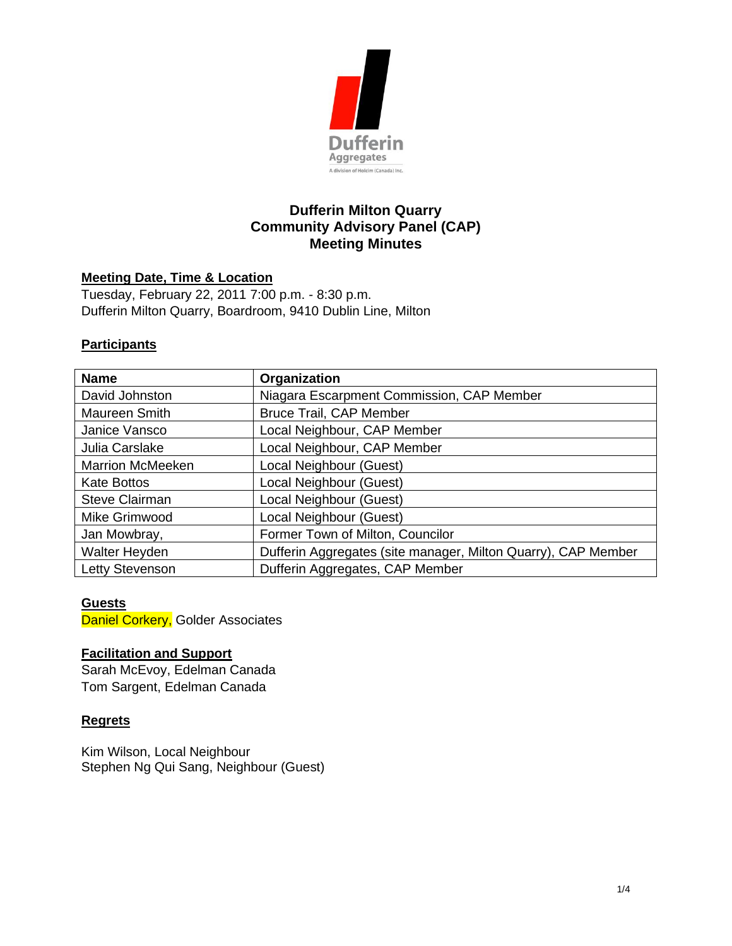

# **Dufferin Milton Quarry Community Advisory Panel (CAP) Meeting Minutes**

#### **Meeting Date, Time & Location**

Tuesday, February 22, 2011 7:00 p.m. - 8:30 p.m. Dufferin Milton Quarry, Boardroom, 9410 Dublin Line, Milton

#### **Participants**

| <b>Name</b>             | Organization                                                  |
|-------------------------|---------------------------------------------------------------|
| David Johnston          | Niagara Escarpment Commission, CAP Member                     |
| Maureen Smith           | <b>Bruce Trail, CAP Member</b>                                |
| Janice Vansco           | Local Neighbour, CAP Member                                   |
| Julia Carslake          | Local Neighbour, CAP Member                                   |
| <b>Marrion McMeeken</b> | Local Neighbour (Guest)                                       |
| <b>Kate Bottos</b>      | Local Neighbour (Guest)                                       |
| <b>Steve Clairman</b>   | Local Neighbour (Guest)                                       |
| Mike Grimwood           | Local Neighbour (Guest)                                       |
| Jan Mowbray,            | Former Town of Milton, Councilor                              |
| Walter Heyden           | Dufferin Aggregates (site manager, Milton Quarry), CAP Member |
| Letty Stevenson         | Dufferin Aggregates, CAP Member                               |

### **Guests**

Daniel Corkery, Golder Associates

#### **Facilitation and Support**

Sarah McEvoy, Edelman Canada Tom Sargent, Edelman Canada

#### **Regrets**

Kim Wilson, Local Neighbour Stephen Ng Qui Sang, Neighbour (Guest)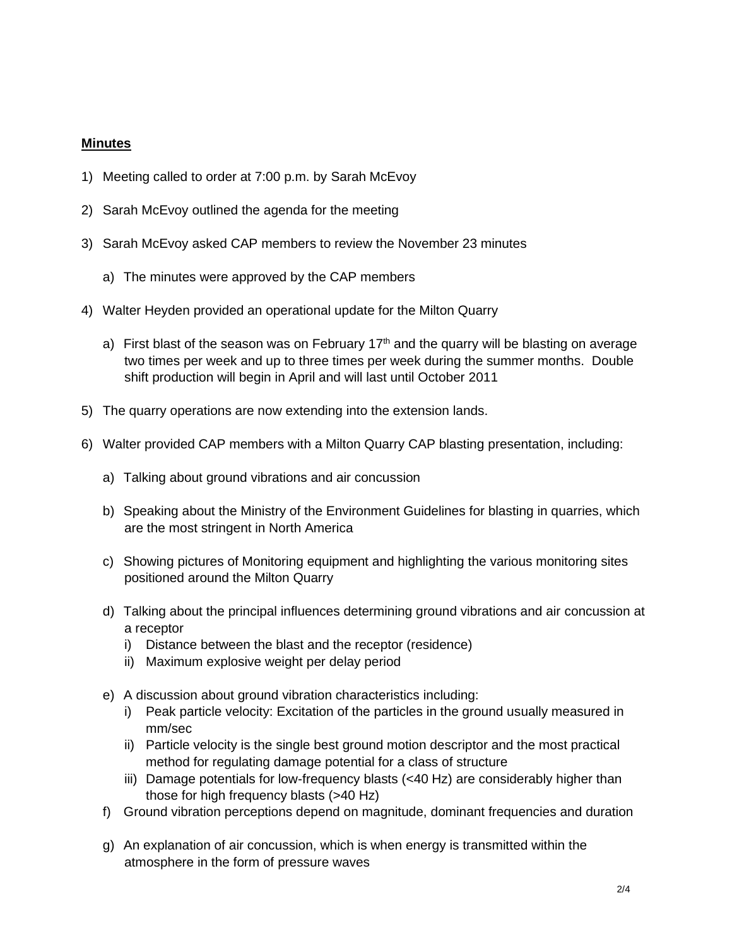## **Minutes**

- 1) Meeting called to order at 7:00 p.m. by Sarah McEvoy
- 2) Sarah McEvoy outlined the agenda for the meeting
- 3) Sarah McEvoy asked CAP members to review the November 23 minutes
	- a) The minutes were approved by the CAP members
- 4) Walter Heyden provided an operational update for the Milton Quarry
	- a) First blast of the season was on February  $17<sup>th</sup>$  and the quarry will be blasting on average two times per week and up to three times per week during the summer months. Double shift production will begin in April and will last until October 2011
- 5) The quarry operations are now extending into the extension lands.
- 6) Walter provided CAP members with a Milton Quarry CAP blasting presentation, including:
	- a) Talking about ground vibrations and air concussion
	- b) Speaking about the Ministry of the Environment Guidelines for blasting in quarries, which are the most stringent in North America
	- c) Showing pictures of Monitoring equipment and highlighting the various monitoring sites positioned around the Milton Quarry
	- d) Talking about the principal influences determining ground vibrations and air concussion at a receptor
		- i) Distance between the blast and the receptor (residence)
		- ii) Maximum explosive weight per delay period
	- e) A discussion about ground vibration characteristics including:
		- i) Peak particle velocity: Excitation of the particles in the ground usually measured in mm/sec
		- ii) Particle velocity is the single best ground motion descriptor and the most practical method for regulating damage potential for a class of structure
		- iii) Damage potentials for low-frequency blasts (<40 Hz) are considerably higher than those for high frequency blasts (>40 Hz)
	- f) Ground vibration perceptions depend on magnitude, dominant frequencies and duration
	- g) An explanation of air concussion, which is when energy is transmitted within the atmosphere in the form of pressure waves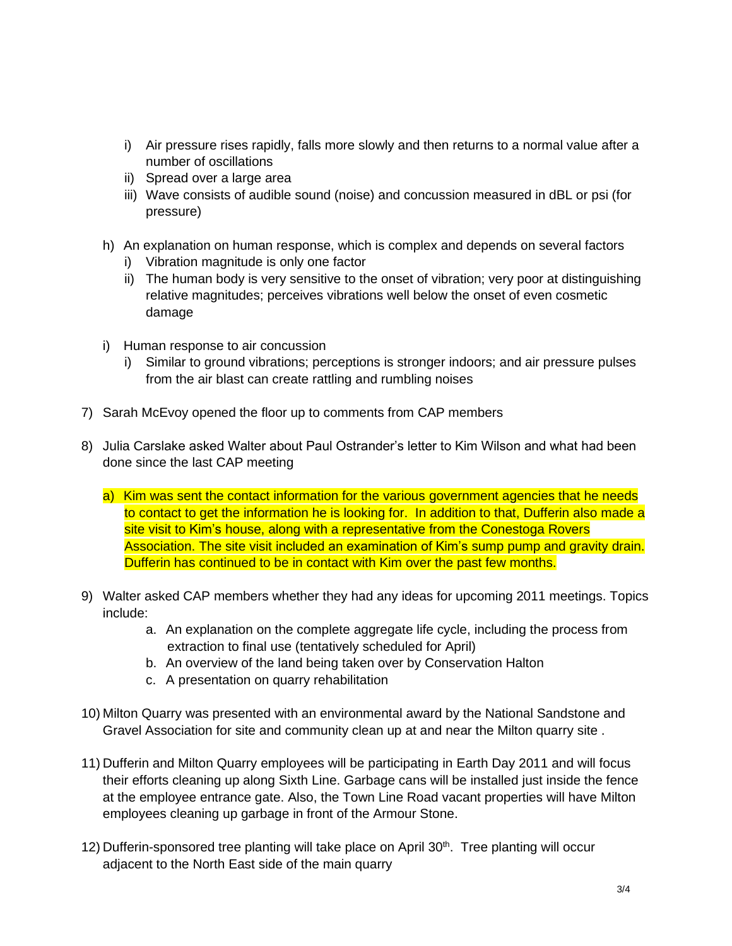- i) Air pressure rises rapidly, falls more slowly and then returns to a normal value after a number of oscillations
- ii) Spread over a large area
- iii) Wave consists of audible sound (noise) and concussion measured in dBL or psi (for pressure)
- h) An explanation on human response, which is complex and depends on several factors
	- i) Vibration magnitude is only one factor
	- ii) The human body is very sensitive to the onset of vibration; very poor at distinguishing relative magnitudes; perceives vibrations well below the onset of even cosmetic damage
- i) Human response to air concussion
	- i) Similar to ground vibrations; perceptions is stronger indoors; and air pressure pulses from the air blast can create rattling and rumbling noises
- 7) Sarah McEvoy opened the floor up to comments from CAP members
- 8) Julia Carslake asked Walter about Paul Ostrander's letter to Kim Wilson and what had been done since the last CAP meeting
	- a) Kim was sent the contact information for the various government agencies that he needs to contact to get the information he is looking for. In addition to that, Dufferin also made a site visit to Kim's house, along with a representative from the Conestoga Rovers Association. The site visit included an examination of Kim's sump pump and gravity drain. Dufferin has continued to be in contact with Kim over the past few months.
- 9) Walter asked CAP members whether they had any ideas for upcoming 2011 meetings. Topics include:
	- a. An explanation on the complete aggregate life cycle, including the process from extraction to final use (tentatively scheduled for April)
	- b. An overview of the land being taken over by Conservation Halton
	- c. A presentation on quarry rehabilitation
- 10) Milton Quarry was presented with an environmental award by the National Sandstone and Gravel Association for site and community clean up at and near the Milton quarry site .
- 11) Dufferin and Milton Quarry employees will be participating in Earth Day 2011 and will focus their efforts cleaning up along Sixth Line. Garbage cans will be installed just inside the fence at the employee entrance gate. Also, the Town Line Road vacant properties will have Milton employees cleaning up garbage in front of the Armour Stone.
- 12) Dufferin-sponsored tree planting will take place on April 30<sup>th</sup>. Tree planting will occur adjacent to the North East side of the main quarry